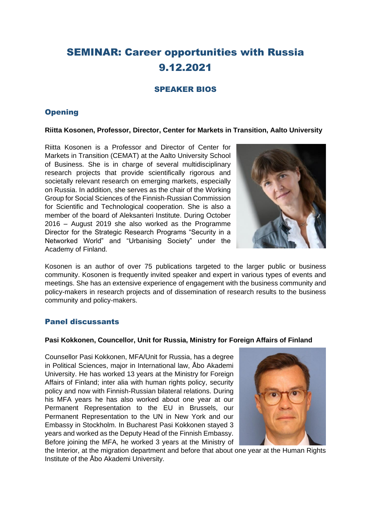# SEMINAR: Career opportunities with Russia 9.12.2021

# SPEAKER BIOS

# **Opening**

#### **Riitta Kosonen, Professor, Director, Center for Markets in Transition, Aalto University**

Riitta Kosonen is a Professor and Director of Center for Markets in Transition (CEMAT) at the Aalto University School of Business. She is in charge of several multidisciplinary research projects that provide scientifically rigorous and societally relevant research on emerging markets, especially on Russia. In addition, she serves as the chair of the Working Group for Social Sciences of the Finnish-Russian Commission for Scientific and Technological cooperation. She is also a member of the board of Aleksanteri Institute. During October 2016 – August 2019 she also worked as the Programme Director for the Strategic Research Programs "Security in a Networked World" and "Urbanising Society" under the Academy of Finland.



Kosonen is an author of over 75 publications targeted to the larger public or business community. Kosonen is frequently invited speaker and expert in various types of events and meetings. She has an extensive experience of engagement with the business community and policy-makers in research projects and of dissemination of research results to the business community and policy-makers.

# Panel discussants

#### **Pasi Kokkonen, Councellor, Unit for Russia, Ministry for Foreign Affairs of Finland**

Counsellor Pasi Kokkonen, MFA/Unit for Russia, has a degree in Political Sciences, major in International law, Åbo Akademi University. He has worked 13 years at the Ministry for Foreign Affairs of Finland; inter alia with human rights policy, security policy and now with Finnish-Russian bilateral relations. During his MFA years he has also worked about one year at our Permanent Representation to the EU in Brussels, our Permanent Representation to the UN in New York and our Embassy in Stockholm. In Bucharest Pasi Kokkonen stayed 3 years and worked as the Deputy Head of the Finnish Embassy. Before joining the MFA, he worked 3 years at the Ministry of



the Interior, at the migration department and before that about one year at the Human Rights Institute of the Åbo Akademi University.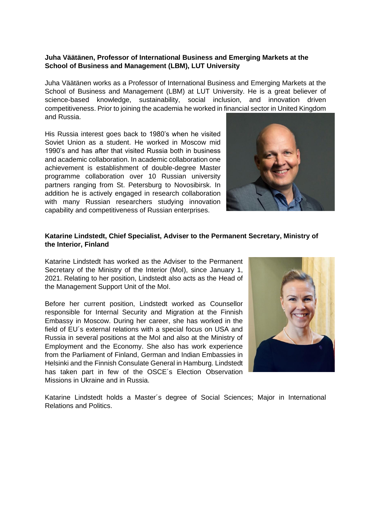#### **Juha Väätänen, Professor of International Business and Emerging Markets at the School of Business and Management (LBM), LUT University**

Juha Väätänen works as a Professor of International Business and Emerging Markets at the School of Business and Management (LBM) at LUT University. He is a great believer of science-based knowledge, sustainability, social inclusion, and innovation driven competitiveness. Prior to joining the academia he worked in financial sector in United Kingdom and Russia.

His Russia interest goes back to 1980's when he visited Soviet Union as a student. He worked in Moscow mid 1990's and has after that visited Russia both in business and academic collaboration. In academic collaboration one achievement is establishment of double-degree Master programme collaboration over 10 Russian university partners ranging from St. Petersburg to Novosibirsk. In addition he is actively engaged in research collaboration with many Russian researchers studying innovation capability and competitiveness of Russian enterprises.



#### **Katarine Lindstedt, Chief Specialist, Adviser to the Permanent Secretary, Ministry of the Interior, Finland**

Katarine Lindstedt has worked as the Adviser to the Permanent Secretary of the Ministry of the Interior (MoI), since January 1, 2021. Relating to her position, Lindstedt also acts as the Head of the Management Support Unit of the MoI.

Before her current position, Lindstedt worked as Counsellor responsible for Internal Security and Migration at the Finnish Embassy in Moscow. During her career, she has worked in the field of EU´s external relations with a special focus on USA and Russia in several positions at the MoI and also at the Ministry of Employment and the Economy. She also has work experience from the Parliament of Finland, German and Indian Embassies in Helsinki and the Finnish Consulate General in Hamburg. Lindstedt has taken part in few of the OSCE´s Election Observation Missions in Ukraine and in Russia.



Katarine Lindstedt holds a Master´s degree of Social Sciences; Major in International Relations and Politics.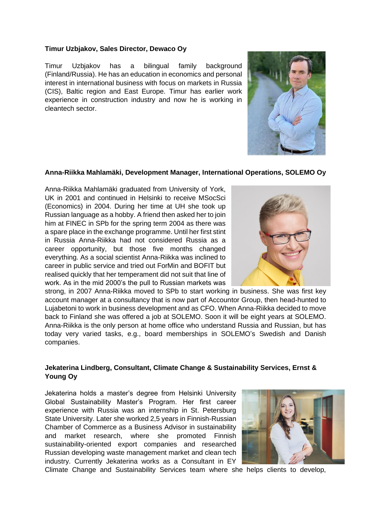#### **Timur Uzbjakov, Sales Director, Dewaco Oy**

Timur Uzbjakov has a bilingual family background (Finland/Russia). He has an education in economics and personal interest in international business with focus on markets in Russia (CIS), Baltic region and East Europe. Timur has earlier work experience in construction industry and now he is working in cleantech sector.



## **Anna-Riikka Mahlamäki, Development Manager, International Operations, SOLEMO Oy**

Anna-Riikka Mahlamäki graduated from University of York, UK in 2001 and continued in Helsinki to receive MSocSci (Economics) in 2004. During her time at UH she took up Russian language as a hobby. A friend then asked her to join him at FINEC in SPb for the spring term 2004 as there was a spare place in the exchange programme. Until her first stint in Russia Anna-Riikka had not considered Russia as a career opportunity, but those five months changed everything. As a social scientist Anna-Riikka was inclined to career in public service and tried out ForMin and BOFIT but realised quickly that her temperament did not suit that line of work. As in the mid 2000's the pull to Russian markets was



strong, in 2007 Anna-Riikka moved to SPb to start working in business. She was first key account manager at a consultancy that is now part of Accountor Group, then head-hunted to Lujabetoni to work in business development and as CFO. When Anna-Riikka decided to move back to Finland she was offered a job at SOLEMO. Soon it will be eight years at SOLEMO. Anna-Riikka is the only person at home office who understand Russia and Russian, but has today very varied tasks, e.g., board memberships in SOLEMO's Swedish and Danish companies.

## **Jekaterina Lindberg, Consultant, Climate Change & Sustainability Services, Ernst & Young Oy**

Jekaterina holds a master's degree from Helsinki University Global Sustainability Master's Program. Her first career experience with Russia was an internship in St. Petersburg State University. Later she worked 2,5 years in Finnish-Russian Chamber of Commerce as a Business Advisor in sustainability and market research, where she promoted Finnish sustainability-oriented export companies and researched Russian developing waste management market and clean tech industry. Currently Jekaterina works as a Consultant in EY



Climate Change and Sustainability Services team where she helps clients to develop,